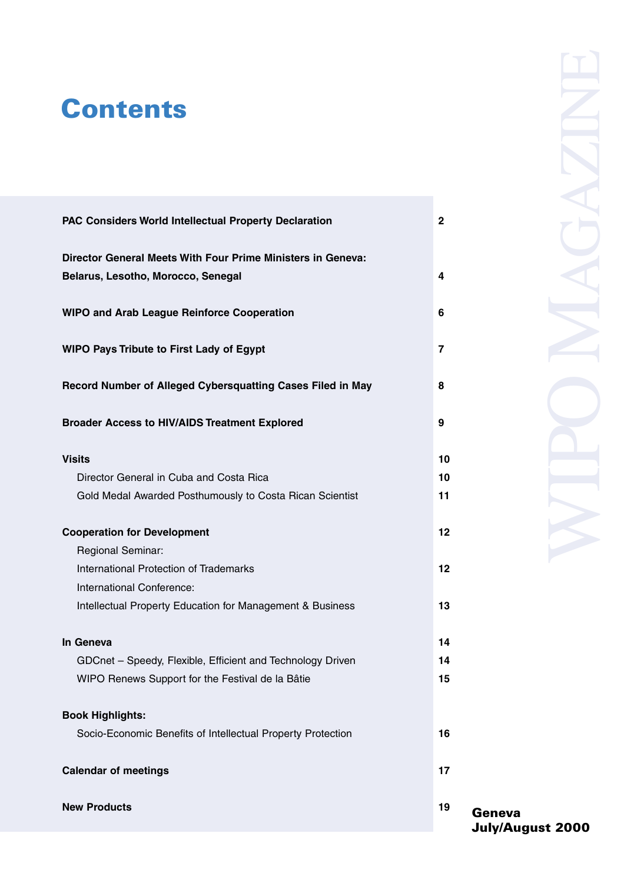## **Contents**

| PAC Considers World Intellectual Property Declaration       | $\overline{ }$           |
|-------------------------------------------------------------|--------------------------|
| Director General Meets With Four Prime Ministers in Geneva- |                          |
| Belarus, Lesotho, Morocco, Senegal                          | 4                        |
|                                                             |                          |
| WIPO and Arab League Reinforce Cooperation                  | A                        |
| WIPO Pays Tribute to First Lady of Egypt                    | $\overline{\phantom{a}}$ |
| Record Number of Alleged Cybersquatting Cases Filed in May  | R                        |
| Broader Access to HIV/AIDS Treatment Explored               | ۰                        |
| Visits                                                      | 10                       |
| Director General in Cuba and Costa Rica                     | 10                       |
| Gold Medal Awarded Posthumously to Costa Rican Scientist    | 11                       |
|                                                             |                          |
| <b>Cooperation for Development</b>                          | 12                       |
| Regional Seminar:                                           |                          |
| International Protection of Trademarks                      | 12                       |
| International Conference:                                   |                          |
| Intellectual Property Education for Management & Business   | 13                       |
| In Geneva                                                   | 14                       |
| GDCnet - Speedy, Flexible, Efficient and Technology Driven  | 14                       |
| WIPO Renews Support for the Festival de la Bâtie            | 15                       |
|                                                             |                          |
| Book Highlights:                                            |                          |
| Socio-Economic Benefits of Intellectual Property Protection | 16                       |
|                                                             |                          |
| <b>Calendar of meetings</b>                                 | 17                       |
| <b>New Products</b>                                         | 19                       |

**July/August 2000**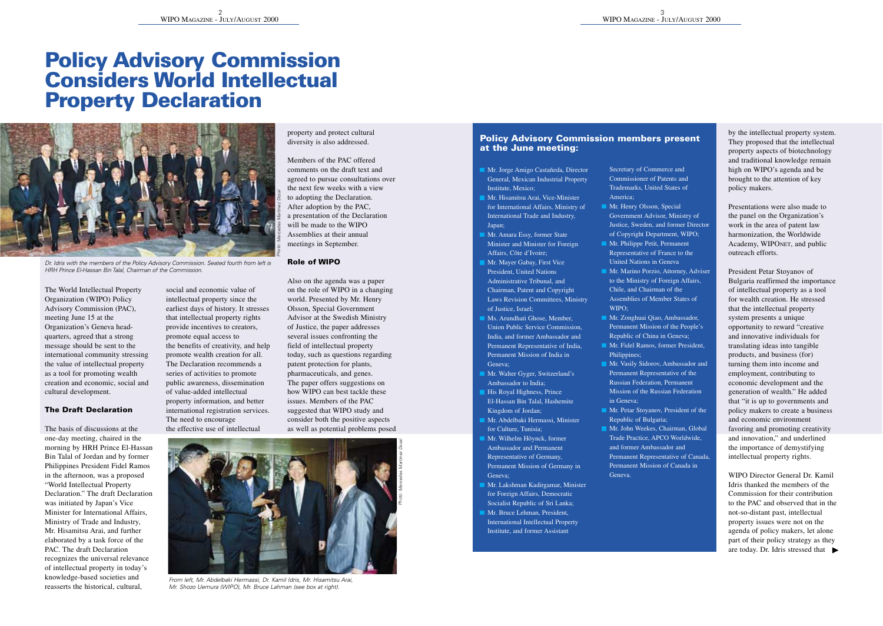# **Policy Advisory Commission Considers World Intellectual Property Declaration**



HRH Prince El-Hassan Bin Talal, Chairman of the Commission.

property and protect cultural diversity is also addressed. Members of the PAC offered comments on the draft text and

agreed to pursue consultations over the next few weeks with a view to adopting the Declaration. After adoption by the PAC, a presentation of the Declaration

will be made to the WIPO Assemblies at their annual meetings in September. Also on the agenda was a paper on the role of WIPO in a changing

Advisor at the Swedish Ministry of Justice, the paper addresses several issues confronting the field of intellectual property today, such as questions regarding patent protection for plants, pharmaceuticals, and genes. The nance offers suggestions on how WIPO can best tackle these issues. Members of the PAC suggested that WIPO study and consider both the positive aspects

## **Role of WIPO** world. Presented by Mr. Henry. Olsson, Special Government

The World Intellectual Property Organization (WIPO) Policy Advisory Commission (PAC), meeting June 15 at the Organization's Geneva headquarters, agreed that a strong message should be sent to the international community stressing the value of intellectual property as a tool for promoting wealth creation and economic, social and cultural development.

### **The Draft Declaration**

The basis of discussions at the one-day meeting, chaired in the morning by HRH Prince El-Hassan Bin Talal of Jordan and by former Philippines President Fidel Ramos in the afternoon, was a proposed

"World Intellectual Property Declaration." The draft Declaration was initiated by Japan's Vice Minister for International Affairs, Ministry of Trade and Industry, Mr. Hisamitsu Arai, and further

elaborated by a task force of the PAC. The draft Declaration recognizes the universal relevance of intellectual property in today's knowledge-based societies and reasserts the historical, cultural,

social and economic value of intellectual property since the earliest days of history. It stresses that intellectual property rights provide incentives to creators, promote equal access to the benefits of creativity, and help promote wealth creation for all. The Declaration recommends a series of activities to promote public awareness, dissemination

of value-added intellectual property information, and better international registration services. The need to encourage

the effective use of intellectual



Mr. Shozo Uemura (WIPO), Mr. Bruce Lahman (see box at right).

### **Policy Advisory Commission members present at the June meeting:**

- Mr. Jorge Amigo Castañeda, Director General, Mexican Industrial Property Institute, Mexico; Mr. Hisamitsu Arai, Vice-Minister
- for International Affairs, Ministry of International Trade and Industry, Japan;
- Minister and Minister for Foreign Affairs, Côte d'Ivoire;
- President, United Nations Administrative Tribunal, and Chairman, Patent and Copyright
- 
- Permanent Representative of India, Permanent Mission of India in
- 
- Kingdom of Jordan;
- for Culture, Tunisia;
- Ambassador and Permanent Representative of Germany, Permanent Mission of Germany in
- 
- International Intellectual Property
- 

### Secretary of Commerce and Commissioner of Patents and Trademarks, United States of

- Mr. Henry Olsson, Special Government Advisor, Ministry of Justice, Sweden, and former Director of Copyright Department, WIPO;
- Mr. Philippe Petit, Permanent Representative of France to the
- Mr. Marino Porzio, Attorney, Adviser to the Ministry of Foreign Affairs. Chile, and Chairman of the Assemblies of Member States of WIPO; Mr. Zonghuai Qiao, Ambassador,
- Permanent Mission of the People's Republic of China in Geneva;
- Mr. Fidel Ramos, former President,
- Mr. Vasily Sidorov, Ambassador and Permanent Representative of the Russian Federation, Permanent Mission of the Russian Federation
- Mr. Petar Stoyanov, President of the Republic of Bulgaria;
- Mr. John Weekes, Chairman, Global Trade Practice, APCO Worldwide, and former Ambassador and Permanent Representative of Canada, Permanent Mission of Canada in

by the intellectual property system. They recovered that the intellectual property aspects of biotechnology and traditional knowledge remain high on WIPO's agenda and be brought to the attention of key policy makers.

Presentations were also made to the panel on the Organization's

work in the area of patent law harmonization, the Worldwide Academy, WIPONET, and public outreach efforts.

President Petar Stoyanov of Bulgaria reaffirmed the importance of intellectual property as a tool for wealth creation. He stressed that the intellectual property. system persents a unique

opportunity to reward "creative and innovative individuals for translating ideas into tangible products, and business (for) turning them into income and employment, contributing to

economic development and the generation of wealth." He added that "it is up to governments and policy makers to create a business and economic environment

favoring and promoting creativity and innovation," and underlined the importance of demystifying intellectual property rights.

### WIPO Director General Dr. Kamil

Idris thanked the members of the Commission for their contribution to the PAC and observed that in the not-so-distant past, intellectual property issues were not on the agenda of policy makers, let alone part of their policy strategy as they are today. Dr. Idris stressed that



From left, Mr. Abdelbaki Hermassi, Dr. Kamil Idris, Mr. Hisamitsu Arai,

Mr. Amara Essy, former State

- Mr. Mayer Gabay, First Vice
- of Justice, Israel; Ms. Arundhati Ghose, Member,
- 
- Mr. Walter Gyger, Switzerland's
- Ambassador to India; His Royal Highness, Prince
- Mr. Abdelbaki Hermassi, Minister
	- Mr. Wilhelm Höynck, former
		-
		-
		-
- 
- 
- Mr. Lakshman Kadirgamar, Minister for Foreign Affairs, Democratic
- **Mr. Bruce Lehman, President**
- Institute, and former Assistant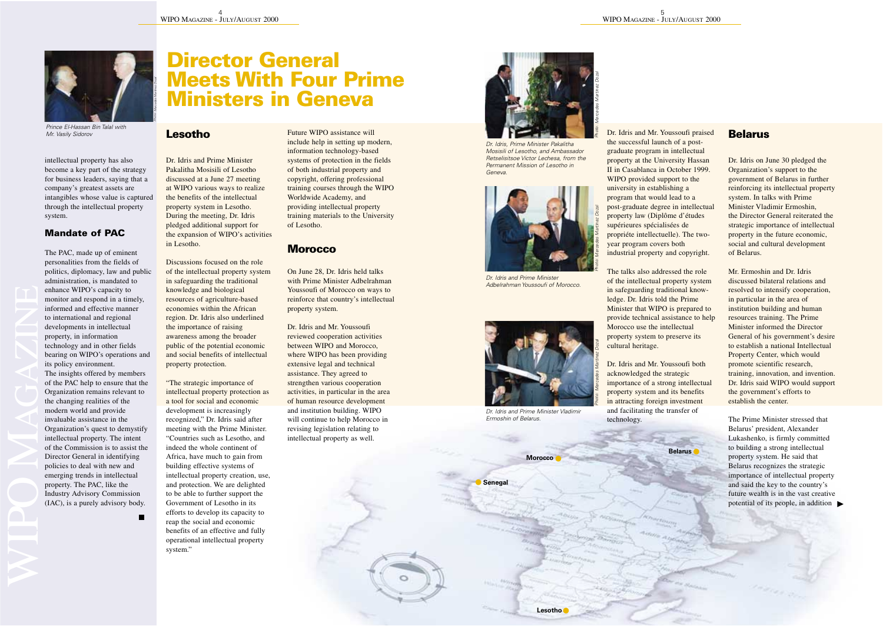**Lesotho** Dr. Idris and Prime Minister Pakalitha Mosisili of Lesotho discussed at a June 27 meeting at WIPO various ways to realize the benefits of the intellectual property system in Lesotho. During the meeting, Dr. Idris pledged additional support for the expansion of WIPO's activities in Lesotho. Discussions focused on the role of the intellectual property system in safeguarding the traditional knowledge and biological resources of agriculture-based economies within the African region. Dr. Idris also underlined the importance of raising awareness among the broader public of the potential economic and social benefits of intellectual property protection. "The strategic importance of intellectual property protection as a tool for social and economic development is increasingly recognized," Dr. Idris said after meeting with the Prime Minister. "Countries such as Lesotho, and indeed the whole continent of Africa, have much to gain from building effective systems of intellectual property creation, use, and protection. We are delighted to be able to further support the Government of Lesotho in its efforts to develop its capacity to reap the social and economic benefits of an effective and fully operational intellectual property system."



Prince El-Hassan Bin Talal with Mr. Vasily Sidorov

intellectual property has also become a key part of the strategy for business leaders, saying that a company's greatest assets are intangibles whose value is captured through the intellectual property. system.

### **Mandate of PAC**

The PAC, made up of eminent personalities from the fields of politics, diplomacy, law and public administration, is mandated to enhance WIPO's capacity to monitor and respond in a timely, informed and effective manner to international and regional developments in intellectual property, in information technology and in other fields bearing on WIPO's operations and its policy environment. The insights offered by members

of the PAC help to ensure that the Organization remains relevant to the changing realities of the modern world and provide invaluable assistance in the

Organization's quest to demystify intellectual property. The intent of the Commission is to assist the Director General in identifying policies to deal with new and emerging trends in intellectual

property. The PAC, like the Industry Advisory Commission (IAC), is a purely advisory body.

## **Director General Meets With Four Prime Ministers in Geneva**

Future WIPO assistance will include help in setting up modern, information technology-based systems of protection in the fields of both industrial property and copyright, offering professional training courses through the WIPO Worldwide Academy, and providing intellectual property training materials to the University of Lesotho.

### **Morocco**

On June 28, Dr. Idris held talks with Prime Minister Adbelrahman Youssoufi of Morocco on ways to reinforce that country's intellectual property system.

Dr. Idris and Mr. Youssoufi reviewed cooperation activities between WIPO and Morocco, where WIPO has been providing extensive legal and technical assistance. They agreed to strengthen various cooperation

activities, in particular in the area of human resource development and institution building. WIPO will continue to help Morocco in revising legislation relating to intellectual property as well.



Dr. Idris, Prime Minister Pakalitha Mosisili of Lesotho, and Ambassador Retselisitsoe Victor Lechesa, from the Permanent Mission of Lesotho in Geneva.



Dr. Idris and Prime Minister Adbelrahman Youssoufi of Morocco.



Dr. Idris and Prime Minister Vladimir Ermoshin of Belarus.

•

Photo: Mercedes Martinez Dozal

• **Senegal**



the successful launch of a postgraduate program in intellectual property at the University Hassan II in Casablanca in October 1999. WIPO provided support to the university in establishing a program that would lead to a post-graduate degree in intellectual property law (Diplôme d'études

supérieures spécialisées de propriéte intellectuelle). The twoyear program covers both industrial property and copyright.

The talks also addressed the role of the intellectual property system in safeguarding traditional knowledge. Dr. Idris told the Prime Minister that WIPO is prepared to provide technical assistance to help Morocco use the intellectual property system to preserve its cultural heritage.

Dr. Idris and Mr. Youssoufi both acknowledged the strategic importance of a strong intellectual property system and its benefits in attracting foreign investment and facilitating the transfer of technology.

**Belarus Morocco**

•

Dr. Idris on June 30 pledged the Organization's support to the government of Belarus in further reinforcing its intellectual property system. In talks with Prime Minister Vladimir Ermoshin, the Director General reiterated the

strategic importance of intellectual property in the future economic, social and cultural development of Belarus.

Mr. Ermoshin and Dr. Idris discussed bilateral relations and resolved to intensify cooperation, in particular in the area of institution building and human resources training. The Prime Minister informed the Director General of his government's desire to establish a national Intellectual Property Center, which would promote scientific research, training, innovation, and invention. Dr. Idris said WIPO would support the government's efforts to establish the center.

The Prime Minister stressed that Belarus' president, Alexander Lukashenko, is firmly committed to building a strong intellectual property system. He said that Belarus recognizes the strategic importance of intellectual property and said the key to the country's future wealth is in the vast creative potential of its people, in addition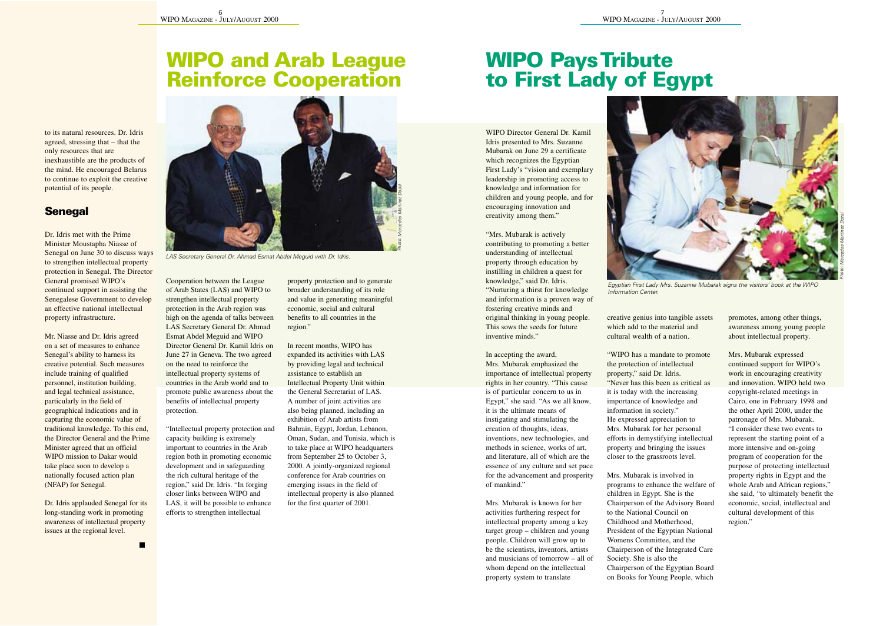## **WIPO and Arab League Reinforce Cooperation**

to its natural resources. Dr. Idris agreed, stressing that – that the only resources that are inexhaustible are the products of the mind. He encouraged Belarus to continue to exploit the creative potential of its people.

### **Senegal**

Dr. Idris met with the Prime Minister Moustapha Niasse of Senegal on June 30 to discuss ways to strengthen intellectual property protection in Senegal. The Director General promised WIPO's continued support in assisting the Senegalese Government to develop an effective national intellectual property infrastructure.

Mr. Niasse and Dr. Idris agreed on a set of measures to enhance Senegal's ability to harness its creative potential. Such measures include training of qualified personnel, institution building, and legal technical assistance, particularly in the field of geographical indications and in capturing the economic value of traditional knowledge. To this end, the Director General and the Prime Minister agreed that an official WIPO mission to Dakar would take place soon to develop a nationally focused action plan (NFAP) for Senegal.

Dr. Idris applauded Senegal for its long-standing work in promoting awareness of intellectual property issues at the regional level.



LAS Secretary General Dr. Ahmad Esmat Abdel Meguid with Dr. Idris.

Cooperation between the League of Arab States (LAS) and WIPO to strengthen intellectual property protection in the Arab region was high on the agenda of talks between LAS Secretary General Dr. Ahmad Esmat Abdel Meguid and WIPO Director General Dr. Kamil Idris on June 27 in Geneva. The two agreed on the need to reinforce the intellectual property systems of countries in the Arab world and to promote public awareness about the benefits of intellectual property protection.

"Intellectual property protection and capacity building is extremely important to countries in the Arab region both in promoting economic development and in safeguarding the rich cultural heritage of the

region," said Dr. Idris. "In forging closer links between WIPO and LAS, it will be possible to enhance efforts to strengthen intellectual

property protection and to generate broader understanding of its role and value in generating meaningful economic, social and cultural benefits to all countries in the region."

In recent months, WIPO has expanded its activities with LAS by providing legal and technical assistance to establish an

Intellectual Property Unit within the General Secretariat of LAS. A number of joint activities are also being planned, including an exhibition of Arab artists from

Bahrain, Egypt, Jordan, Lebanon, Oman, Sudan, and Tunisia, which is to take place at WIPO headquarters from September 25 to October 3, 2000. A jointly-organized regional conference for Arab countries on

emerging issues in the field of intellectual property is also planned for the first quarter of 2001.

## **WIPO Pays Tribute to First Lady of Egypt**

WIPO Director General Dr. Kamil Idris presented to Mrs. Suzanne Mubarak on June 29 a certificate which recognizes the Egyptian First Lady's "vision and exemplary leadership in promoting access to knowledge and information for children and young people, and for encouraging innovation and creativity among them."

"Mrs. Mubarak is actively contributing to promoting a better understanding of intellectual property through education byinstilling in children a quest for knowledge," said Dr. Idris. "Nurturing a thirst for knowledge and information is a proven way of fostering creative minds and original thinking in young people. This sows the seeds for future inventive minds."

In accepting the award, Mrs. Mubarak emphasized the importance of intellectual property rights in her country. "This cause is of particular concern to us in Egypt," she said. "As we all know, it is the ultimate means of instigating and stimulating the creation of thoughts, ideas, inventions, new technologies, and methods in science, works of art, and literature, all of which are the essence of any culture and set pace for the advancement and prosperity of mankind."

Mrs. Mubarak is known for her activities furthering respect for intellectual property among a key target group – children and young people. Children will grow up to be the scientists, inventors, artists and musicians of tomorrow – all of whom depend on the intellectual property system to translate



Egyptian First Lady Mrs. Suzanne Mubarak signs the visitors' book at the WIPO Information Center.

creative genius into tangible assets which add to the material and cultural wealth of a nation.

"WIPO has a mandate to promote the protection of intellectual property," said Dr. Idris. "Never has this been as critical as it is today with the increasing importance of knowledge and information in society."

He expressed appreciation to Mrs. Mubarak for her personal efforts in demystifying intellectual property and bringing the issues closer to the grassroots level.

Mrs. Mubarak is involved in

programs to enhance the welfare of children in Egypt. She is the Chairperson of the Advisory Board to the National Council on Childhood and Motherhood, President of the Egyptian National Womens Committee, and the Chairperson of the Integrated Care Society. She is also the Chairperson of the Egyptian Board on Books for Young People, which promotes, among other things, awareness among young people about intellectual property.

Mrs. Mubarak expressed continued support for WIPO's work in encouraging creativity. and innovation. WIPO held two copyright-related meetings in Cairo, one in February 1998 and the other April 2000, under the patronage of Mrs. Mubarak. "I consider these two events to represent the starting point of a

more intensive and on-going program of cooperation for the purpose of protecting intellectual property rights in Egypt and the whole Arab and African regions," she said, "to ultimately benefit the economic, social, intellectual and cultural development of this region."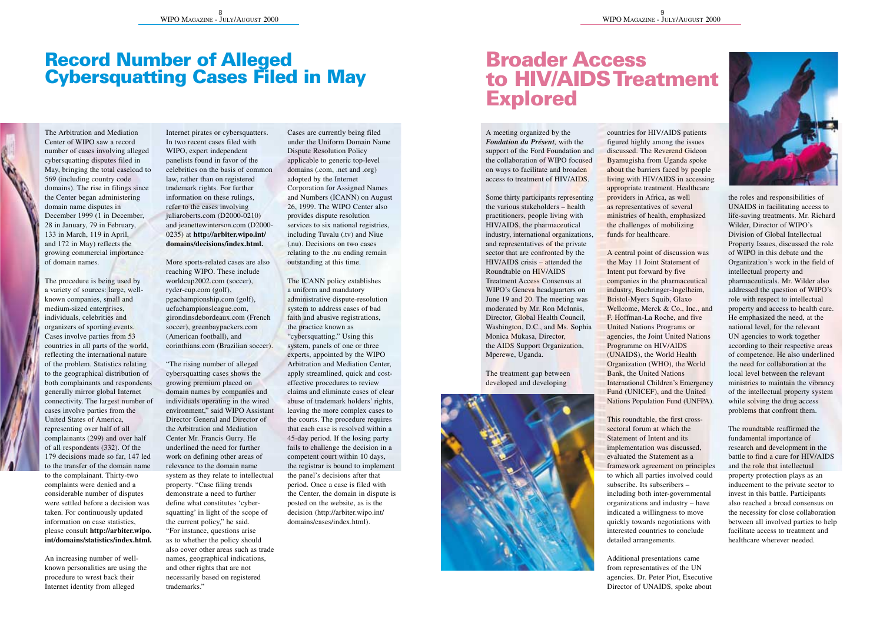## **Record Number of Alleged Cybersquatting Cases Filed in May**

The Arbitration and Mediation Center of WIPO saw a record number of cases involving alleged cybersquatting disputes filed in May, bringing the total caseload to 569 (including country code domains). The rise in filings since the Center began administering domain name disputes in December 1999 (1 in December,

28 in January, 79 in February, 133 in March, 119 in April, and 172 in May) reflects the growing commercial importance of domain names.

The procedure is being used by a variety of sources: large, wellknown companies, small and medium-sized enterprises, individuals, celebrities and

organizers of sporting events. Cases involve parties from 53 countries in all parts of the world, reflecting the international nature of the problem. Statistics relating to the geographical distribution of both complainants and respondents generally mirror global Internet

connectivity. The largest number of cases involve parties from the United States of America,

representing over half of all complainants (299) and over half of all respondents (332). Of the 179 decisions made so far, 147 led to the transfer of the domain name to the complainant. Thirty-two

complaints were denied and a considerable number of disputes were settled before a decision was taken. For continuously updated information on case statistics, please consult **http://arbiter.wipo. int/domains/statistics/index.html.**

An increasing number of wellknown personalities are using the procedure to wrest back their Internet identity from alleged

Internet pirates or cybersquatters. In two recent cases filed with WIPO, expert independent panelists found in favor of the celebrities on the basis of common law, rather than on registered trademark rights. For further information on these rulings, refer to the cases involving juliaroberts.com (D2000-0210)

and jeanettewinterson.com (D2000- 0235) at **http://arbiter.wipo.int/ domains/decisions/index.html.**

More sports-related cases are also reaching WIPO. These include worldcup2002.com (soccer), ryder-cup.com (golf), pgachampionship.com (golf), uefachampionsleague.com, girondinsdebordeaux.com (French soccer), greenbaypackers.com (American football), and corinthians.com (Brazilian soccer).

"The rising number of alleged cybersoutting cases shows the growing premium placed on domain names by companies and individuals operating in the wired environment," said WIPO Assistant Director General and Director of

the Arbitration and Mediation Center Mr. Francis Gurry. He underlined the need for further work on defining other areas of relevance to the domain name system as they relate to intellectual

property. "Case filing trends demonstrate a need to further define what constitutes 'cybersquatting' in light of the scope of the current policy," he said. "For instance, questions arise

as to whether the policy should also cover other areas such as trade names, geographical indications, and other rights that are not necessarily based on registered trademarks."

Cases are currently being filed under the Uniform Domain Name Dispute Resolution Policy applicable to generic top-level

domains (.com, .net and .org) adopted by the Internet Corporation for Assigned Names **LOPPERANT IN CANN)** on August 26, 1999. The WIPO Center also provides dispute resolution

services to six national registries, including Tuvalu (.tv) and Niue (.nu). Decisions on two cases relating to the .nu ending remain outstanding at this time.

The ICANN policy establishes a uniform and mandatory administrative dispute-resolution system to address cases of bad faith and abusive registrations, the practice known as "cybersquatting." Using this system, panels of one or three experts, appointed by the WIPO Arbitration and Mediation Center, apply streamlined, quick and costeffective procedures to review claims and eliminate cases of clear abuse of trademark holders' rights, leaving the more complex cases to the courts. The procedure requires that each case is resolved within a 45-day period. If the losing party fails to challenge the decision in a competent court within 10 days, the registrar is bound to implement

the panel's decisions after that period. Once a case is filed with the Center, the domain in dispute is posted on the website, as is the decision (http://arbiter.wipo.int/ domains/cases/index.html).

## **Broader Access to HIV/AIDS Treatment Explored**

A meeting organized by the *Fondation du Présent,* with the support of the Ford Foundation and the collaboration of WIPO focused on ways to facilitate and broaden access to treatment of HIV/AIDS.

Some thirty participants representing the various stakeholders – health practitioners, people living with

HIV/AIDS, the pharmaceutical industry, international organizations, and representatives of the private sector that are confronted by the HIV/AIDS crisis – attended the

Roundtable on HIV/AIDS Treatment Access Consensus at WIPO's Geneva headquarters on June 19 and 20. The meeting was moderated by Mr. Ron McInnis, Director, Global Health Council, Washington, D.C., and Ms. Sophia. Monica Mukasa, Director, the AIDS Support Organization, Mperewe, Uganda.

The treatment gap between developed and developing



countries for HIV/AIDS patients figured highly among the issues discussed. The Reverend Gideon Byamugisha from Uganda spoke about the barriers faced by people living with HIV/AIDS in accessing appropriate treatment. Healthcare providers in Africa, as well as representatives of several ministries of health, emphasized the challenges of mobilizing funds for healthcare.

A central point of discussion was the May 11 Joint Statement of Intent put forward by five companies in the pharmaceutical industry, Boehringer-Ingelheim, Bristol-Myers Squib, Glaxo Wellcome, Merck & Co., Inc., and F. Hoffman-La Roche, and five United Nations Programs or

agencies, the Joint United Nations Programme on HIV/AIDS (UNAIDS), the World Health Organization (WHO), the World Bank, the United Nations

International Children's Emergency Fund (UNICEF), and the United Nations Population Fund (UNFPA).

This roundtable, the first cross-

sectoral forum at which the Statement of Intent and its implementation was discussed, evaluated the Statement as a framework agreement on principles to which all parties involved could

subscribe. Its subscribers – including both inter-governmental organizations and industry – have indicated a willingness to move quickly towards negotiations with interested countries to conclude detailed arrangements.

Additional presentations came from representatives of the UN agencies. Dr. Peter Piot, Executive Director of UNAIDS, spoke about



the roles and responsibilities of UNAIDS in facilitating access to life-saving treatments. Mr. Richard

Wilder, Director of WIPO's Division of Global Intellectual Property Issues, discussed the role of WIPO in this debate and the Organization's work in the field of intellectual property and pharmaceuticals. Mr. Wilder also addressed the question of WIPO's role with respect to intellectual property and access to health care. He emphasized the need, at the national level, for the relevant UN agencies to work together according to their respective areas of competence. He also underlined the need for collaboration at the local level between the relevant ministries to maintain the vibrancy of the intellectual property system while solving the drug access

problems that confront them. The roundtable reaffirmed the fundamental importance of research and development in the battle to find a cure for HIV/AIDS and the role that intellectual property protection plays as an

inducement to the private sector to invest in this battle. Participants also reached a broad consensus on the necessity for close collaboration between all involved parties to help facilitate access to treatment and healthcare wherever needed.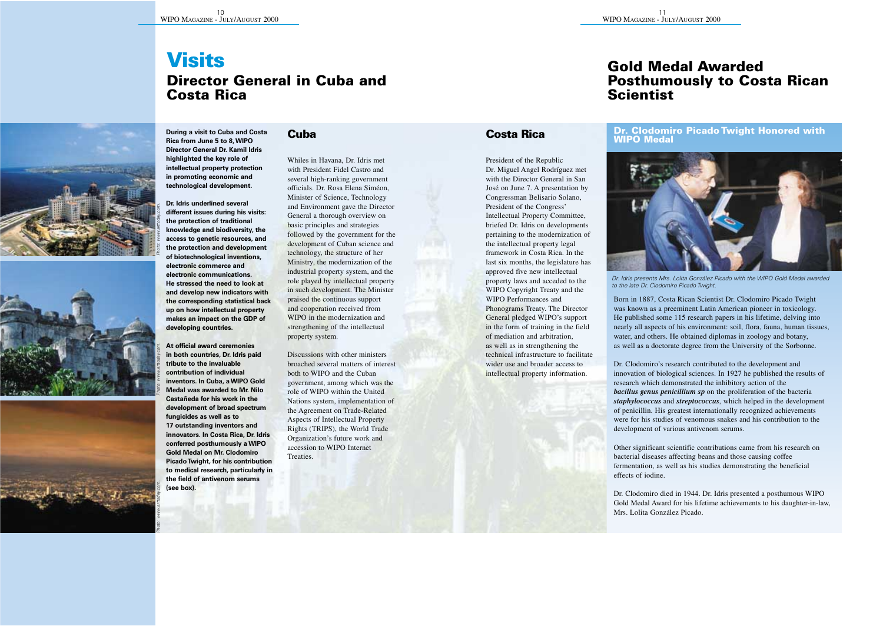**During a visit to Cuba and Costa**

## **Visits Director General in Cuba and Costa Rica**







### **Cuba**

**Director General Dr. Kamil Idris highlighted the key role of intellectual property protection in promoting economic and technological development. Dr. Idris underlined several** 

**different issues during his visits: the protection of traditional knowledge and biodiversity, the access to genetic resources, and the protection and development of biotechnological inventions, electronic commerce and electronic communications. He stressed the need to look at and develop new indicators with the corresponding statistical back up on how intellectual property makes an impact on the GDP of developing countries.**

**At official award ceremonies in both countries, Dr. Idris paid tribute to the invaluable contribution of individual inventors. In Cuba, a WIPO Gold Medal was awarded to Mr. Nilo Castañeda for his work in the development of broad spectrum fungicides as well as to 17 outstanding inventors and innovators. In Costa Rica, Dr. Idris conferred posthumously a WIPO Gold Medal on Mr. Clodomiro Picado Twight, for his contribution to medical research, particularly in the field of antivenom serums (see box).**

Photo: www.arttoday.com.

Whiles in Havana, Dr. Idris met with President Fidel Castro and several high-ranking government officials. Dr. Rosa Elena Siméon, Minister of Science, Technology and Environment gave the Director General a thorough overview on basic principles and strategies

followed by the government for the development of Cuban science and technology, the structure of her Ministry, the modernization of the industrial property system, and the role played by intellectual property in such development. The Minister praised the continuous support and cooperation received from WIPO in the modernization and strengthening of the intellectual property system.

Discussions with other ministers broached several matters of interest both to WIPO and the Cuban

government, among which was the role of WIPO within the United Nations system, implementation of the Agreement on Trade-Related Aspects of Intellectual Property Rights (TRIPS), the World Trade Organization's future work and accession to WIPO Internet Treaties.

### **Gold Medal Awarded Posthumously to Costa Rican Scientist**

### **Costa Rica**

President of the Republic Dr. Miguel Angel Rodríguez met with the Director General in San José on June 7. A presentation by Congressman Belisario Solano, President of the Congress' Intellectual Property Committee,

briefed Dr. Idris on developments pertaining to the modernization of the intellectual property legal framework in Costa Rica. In the last six months, the legislature has approved five new intellectual property laws and acceded to the WIPO Copyright Treaty and the WIPO Performances and Phonograms Treaty. The Director General pledged WIPO's support in the form of training in the field of mediation and arbitration, as well as in strengthening the technical infrastructure to facilitate wider use and broader access to intellectual property information.

### **Dr. Clodomiro Picado Twight Honored with WIPO Medal**



Dr. Idris presents Mrs. Lolita González Picado with the WIPO Gold Medal awarded to the late Dr. Clodomiro Picado Twight.

Born in 1887, Costa Rican Scientist Dr. Clodomiro Picado Twight was known as a preeminent Latin American pioneer in toxicology. He published some 115 research papers in his lifetime, delving into nearly all aspects of his environment: soil, flora, fauna, human tissues, water, and others. He obtained diplomas in zoology and botany, as well as a doctorate degree from the University of the Sorbonne.

Dr. Clodomiro's research contributed to the development and innovation of biological sciences. In 1927 he published the results of

research which demonstrated the inhibitory action of the *bacillus genus penicillium sp* on the proliferation of the bacteria *staphylococcus* and *streptococcus*, which helped in the development of penicillin. His greatest internationally recognized achievements were for his studies of venomous snakes and his contribution to the development of various antivenom serums.

Other significant scientific contributions came from his research on bacterial diseases affecting beans and those causing coffee fermentation, as well as his studies demonstrating the beneficial effects of iodine.

Dr. Clodomiro died in 1944. Dr. Idris presented a posthumous WIPO Gold Medal Award for his lifetime achievements to his daughter-in-law, Mrs. Lolita González Picado.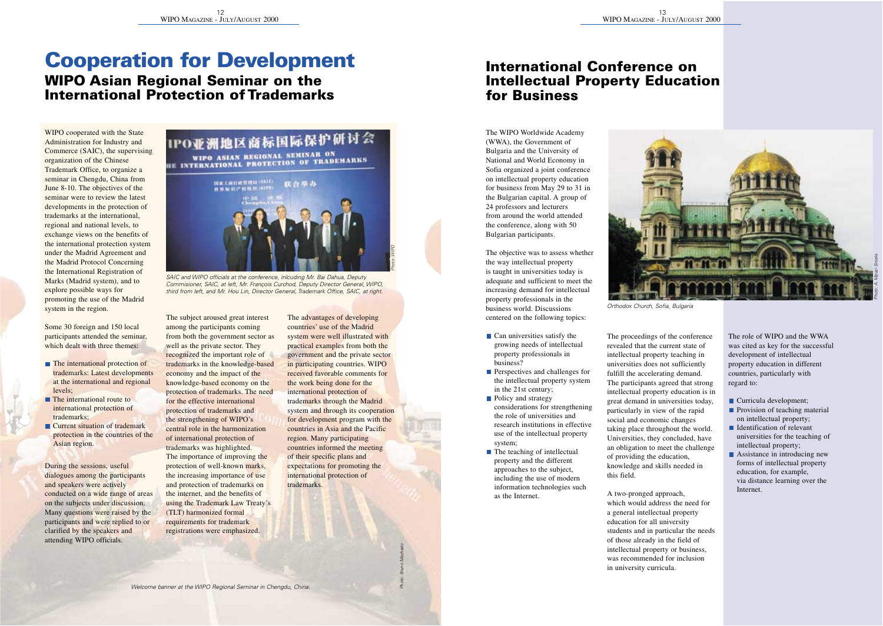## **Cooperation for Development**

### **WIPO Asian Regional Seminar on the International Protection of Trademarks**

WIPO cooperated with the State Administration for Industry and Commerce (SAIC), the supervising organization of the Chinese

Trademark Office, to organize a seminar in Chengdu, China from June 8-10. The objectives of the seminar were to review the latest developments in the protection of trademarks at the international,

regional and national levels, to exchange views on the benefits of the international protection system under the Madrid Agreement and the Madrid Protocol Concerning the International Registration of Marks (Madrid system), and to explore possible ways for promoting the use of the Madrid system in the region.

Some 30 foreign and 150 local participants attended the seminar, which dealt with three themes:

- The international protection of trademarks: Latest developments at the international and regional levels;
- The international route to international protection of trademarks;
- Current situation of trademark protection in the countries of the Asian region.

During the sessions, useful dialogues among the participants and speakers were actively conducted on a wide range of areas on the subjects under discussion. Many questions were raised by the participants and were replied to or clarified by the speakers and attending WIPO officials.





SAIC and WIPO officials at the conference, inlcuding Mr. Bai Dahua, Deputy Commisioner, SAIC, at left, Mr. François Curchod, Deputy Director General, WIPO, third from left, and Mr. Hou Lin, Director General, Trademark Office, SAIC, at right.

The subject aroused great interest among the participants coming from both the government sector as well as the private sector. They recognized the important role of trademarks in the knowledge-based economy and the impact of the knowledge-based economy on the protection of trademarks. The need for the effective international protection of trademarks and the strengthening of WIPO's central role in the harmonization of international protection of trademarks was highlighted. The importance of improving the protection of well-known marks, the increasing importance of use

and protection of trademarks on the internet, and the benefits of using the Trademark Law Treaty's (TLT) harmonized formal requirements for trademark registrations were emphasized.

The advantages of developing countries' use of the Madrid system were well illustrated with practical examples from both the government and the private sector in participating countries. WIPO received favorable comments for

Photo: WIPO

Photo: Bruno Machado

the work being done for the international protection of trademarks through the Madrid system and through its cooperation for development program with the countries in Asia and the Pacific region. Many participating countries informed the meeting of their specific plans and expectations for promoting the international protection of trademarks.

### **International Conference on Intellectual Property Education for Business**

The WIPO Worldwide Academy (WWA), the Government of Bulgaria and the University of National and World Economy in Sofia organized a joint conference on intellectual property education for business from May 29 to 31 in the Bulgarian capital. A group of 24 professors and lecturers from around the world attended

the conference, along with 50 Bulgarian participants.

The objective was to assess whether the way intellectual property is taught in universities today is adequate and sufficient to meet the increasing demand for intellectual property professionals in the business world. Discussions centered on the following topics:

- Can universities satisfy the growing needs of intellectual property professionals in
- **B** Perspectives and challenges for the intellectual property system in the 21st century;
- **B** Policy and strategy considerations for strengthening the role of universities and research institutions in effective use of the intellectual property system;
- **n** The teaching of intellectual property and the different approaches to the subject, including the use of modern information technologies such as the Internet.



Orthodox Church, Sofia, Bulgaria

The proceedings of the conference revealed that the current state of intellectual property teaching in universities does not sufficiently fulfill the accelerating demand.

The participants agreed that strong intellectual property education is in great demand in universities today, particularly in view of the rapid social and economic changes taking place throughout the world.

Universities, they concluded, have an obligation to meet the challenge of providing the education, knowledge and skills needed in this field.

A two-pronged approach, which would address the need for a general intellectual property education for all university students and in maticular the needs

of those already in the field of intellectual property or business, was recommended for inclusion in university curricula.

The role of WIPO and the WWA was cited as key for the successful development of intellectual property education in different countries, particularly with regard to:

- Curricula development;
- **Provision of teaching material** on intellectual property;
- Identification of relevant universities for the teaching of
- intellectual property; **B** Assistance in introducing new
- forms of intellectual property education, for example, via distance learning over the Internet.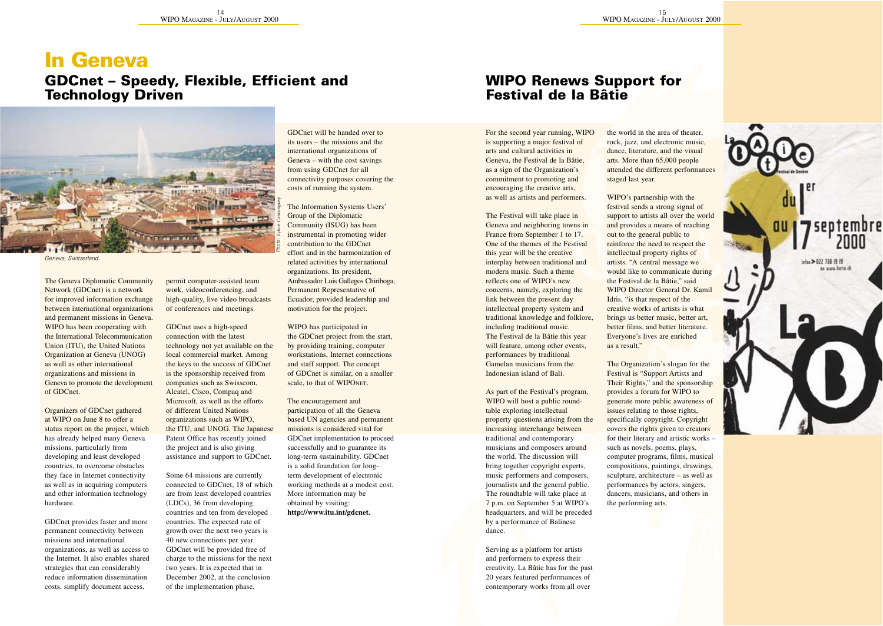## **In Geneva**

### **GDCnet – Speedy, Flexible, Efficient and Technology Driven**



Geneva, Switzerland.

The Geneva Diplomatic Community Network (GDCnet) is a network for improved information exchange between international organizations and permanent missions in Geneva. WIPO has been cooperating with the International Telecommunication Union (ITU), the United Nations Organization at Geneva (UNOG) as well as other international organizations and missions in Geneva to promote the development of GDCnet.

Organizers of GDCnet gathered at WIPO on June 8 to offer a status report on the project, which has already helped many Geneva missions, particularly from developing and least developed countries, to overcome obstacles they face in Internet connectivity

as well as in acquiring computers and other information technology hardware.

GDCnet provides faster and more permanent connectivity between missions and international organizations, as well as access to the Internet. It also enables shared strategies that can considerably reduce information dissemination costs, simplify document access,

permit computer-assisted team work, videoconferencing, and high-quality, live video broadcasts of conferences and meetings.

GDCnet uses a high-speed connection with the latest technology not yet available on the local commercial market. Among the keys to the success of GDCnet is the sponsorship received from companies such as Swisscom, Alcatel, Cisco, Compaq and Microsoft, as well as the efforts of different United Nations organizations such as WIPO, the ITU, and UNOG. The Japanese Patent Office has recently joined the project and is also giving assistance and support to GDCnet.

Some 64 missions are currently

connected to GDCnet, 18 of which are from least developed countries (LDCs), 36 from developing countries and ten from developed countries. The expected rate of growth over the next two years is

40 new connections per year. GDCnet will be provided free of charge to the missions for the next two years. It is expected that in December 2002, at the conclusion of the implementation phase,

GDCnet will be handed over to its users – the missions and the international organizations of Geneva – with the cost savings from using GDCnet for all connectivity purposes covering the costs of running the system.

The Information Systems Users' Group of the Diplomatic Community (ISUG) has been instrumental in promoting wider contribution to the GDCnet effort and in the harmonization of related activities by international organizations. Its president, Ambassador Luis Gallegos Chiriboga, Permanent Representative of Ecuador, provided leadership and motivation for the project.

WIPO has participated in the GDCnet project from the start, by providing training, computer workstations, Internet connections. and staff support. The concept of GDCnet is similar, on a smaller scale, to that of WIPONET.

The encouragement and participation of all the Geneva based UN agencies and permanent missions is considered vital for GDCnet implementation to proceed successfully and to guarantee its long-term sustainability. GDCnet is a solid foundation for longterm development of electronic

working methods at a modest cost. More information may be obtained by visiting: **http://www.itu.int/gdcnet.**

### **WIPO Renews Support for Festival de la Bâtie**

For the second year running, WIPO is supporting a major festival of arts and cultural activities in Geneva, the Festival de la Bâtie, as a sign of the Organization's commitment to promoting and encouraging the creative arts, as well as artists and performers.

The Festival will take place in

Geneva and neighboring towns in France from September 1 to 17. One of the themes of the Festival this year will be the creative interplay between traditional and modern music. Such a theme reflects one of WIPO's new concerns, namely, exploring the link between the present day intellectual property system and traditional knowledge and folklore, including traditional music.

The Festival de la Bâtie this year will feature, among other events, performances by traditional Gamelan musicians from the Indonesian island of Bali.

As part of the Festival's program, WIPO will host a public roundtable exploring intellectual property questions arising from the increasing interchange between traditional and contemporary musicians and composers around the world. The discussion will bring together copyright experts, music performers and composers,

journalists and the general public. The roundtable will take place at 7 p.m. on September 5 at WIPO's headquarters, and will be preceded by a performance of Balinese dance.

Serving as a platform for artists and performers to express their creativity, La Bâtie has for the past 20 years featured performances of contemporary works from all over the world in the area of theater, rock, jazz, and electronic music, dance, literature, and the visual arts. More than 65,000 people attended the different performances staged last year.

WIPO's partnership with the festival sends a strong signal of support to artists all over the world and provides a means of reaching out to the reneral rublic to reinforce the need to respect the intellectual property rights of artists. "A central message we would like to communicate during the Festival de la Bâtie," said WIPO Director General Dr. Kamil Idris, "is that respect of the creative works of artists is what brings us better music, better art, better films, and better literature. Everyone's lives are enriched as a result."

The Organization's slogan for the Festival is "Support Artists and Their Rights," and the sponsorship provides a forum for WIPO to generate more public awareness of issues relating to those rights, specifically copyright. Copyright. covers the rights given to creators for their literary and artistic works – such as novels, poems, plays, computer programs, films, musical compositions, paintings, drawings, sculpture, architecture – as well as

performances by actors, singers, dancers, musicians, and others in the performing arts.

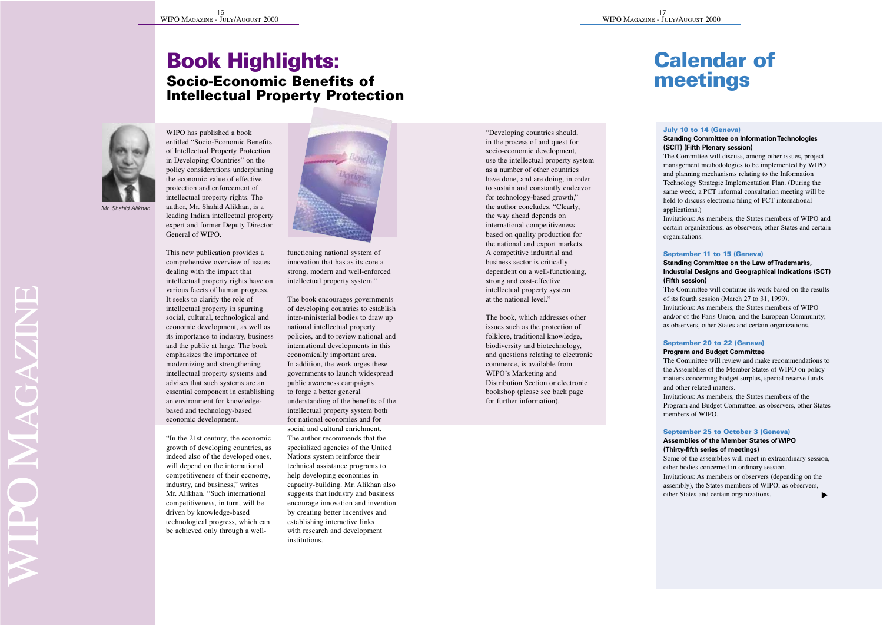### **Book Highlights: Socio-Economic Benefits of Intellectual Property Protection**



WIPO has published a book entitled "Socio-Economic Benefits of Intellectual Property Protection in Developing Countries" on the policy considerations underpinning the economic value of effective protection and enforcement of intellectual property rights. The author, Mr. Shahid Alikhan, is a leading Indian intellectual property expert and former Deputy Director General of WIPO.

This new publication provides a comprehensive overview of issues dealing with the impact that intellectual property rights have on various facets of human progress. It seeks to clarify the role of intellectual property in spurring social, cultural, technological and economic development, as well as its importance to industry, business and the public at large. The book emphasizes the importance of modernizing and strengthening intellectual property systems and

advises that such systems are an essential component in establishing an environment for knowledgebased and technology-based economic development.

"In the 21st century, the economic growth of developing countries, as indeed also of the developed ones, will depend on the international competitiveness of their economy,

industry, and business," writes Mr. Alikhan. "Such international competitiveness, in turn, will be driven by knowledge-based technological progress, which can be achieved only through a well-



functioning national system of innovation that has as its core a strong, modern and well-enforced intellectual property system."

The book encourages governments of developing countries to establish inter-ministerial bodies to draw up national intellectual property policies, and to review national and international developments in this economically important area. In addition, the work wrong these governments to launch widespread

public awareness campaigns to force a better general understanding of the benefits of the intellectual property system both for national economies and for social and cultural enrichment. The author recommends that the specialized agencies of the United Nations system reinforce their

technical assistance programs to help developing economies in capacity-building. Mr. Alikhan also suggests that industry and business encourage innovation and invention by creating better incentives and establishing interactive links with research and development institutions.

"Developing countries should, in the process of and quest for socio-economic development, use the intellectual property system as a number of other countries have done, and are doing, in order to sustain and constantly endeavor for technology-based growth," the author concludes. "Clearly, the way ahead depends on international competitiveness based on quality production for the national and export markets. A competitive industrial and business sector is critically dependent on a well-functioning, strong and cost-effective intellectual property system at the national level."

The book, which addresses other issues such as the protection of folklore, traditional knowledge, biodiversity and biotechnology, and questions relating to electronic commerce, is available from WIPO's Marketing and Distribution Section or electronic bookshop (please see back page for further information).

## **Calendar of meetings**

### **July 10 to 14 (Geneva)**

#### **Standing Committee on Information Technologies (SCIT) (Fifth Plenary session)**

The Committee will discuss, among other issues, project management methodologies to be implemented by WIPO and planning mechanisms relating to the Information Technology Strategic Implementation Plan. (During the same week, a PCT informal consultation meeting will be held to discuss electronic filing of PCT international applications.)

Invitations: As members, the States members of WIPO and certain organizations; as observers, other States and certain organizations.

### **September 11 to 15 (Geneva)**

### **Standing Committee on the Law of Trademarks, Industrial Designs and Geographical Indications (SCT) (Fifth session)**

The Committee will continue its work based on the results. of its fourth session (March 27 to 31, 1999). Invitations: As members, the States members of WIPO and/or of the Paris Union, and the European Community; as observers, other States and certain organizations.

#### **September 20 to 22 (Geneva) Program and Budget Committee**

The Committee will review and make recommendations to the Assemblies of the Member States of WIPO on policy matters concerning budget surplus, special reserve funds and other related matters. Invitations: As members, the States members of the Program and Budget Committee; as observers, other States members of WIPO.

### **September 25 to October 3 (Geneva)**

#### **Assemblies of the Member States of WIPO (Thirty-fifth series of meetings)**

Some of the assemblies will meet in extraordinary session, other bodies concerned in ordinary session. Invitations: As members or observers (depending on the assembly), the States members of WIPO; as observers, other States and certain organizations.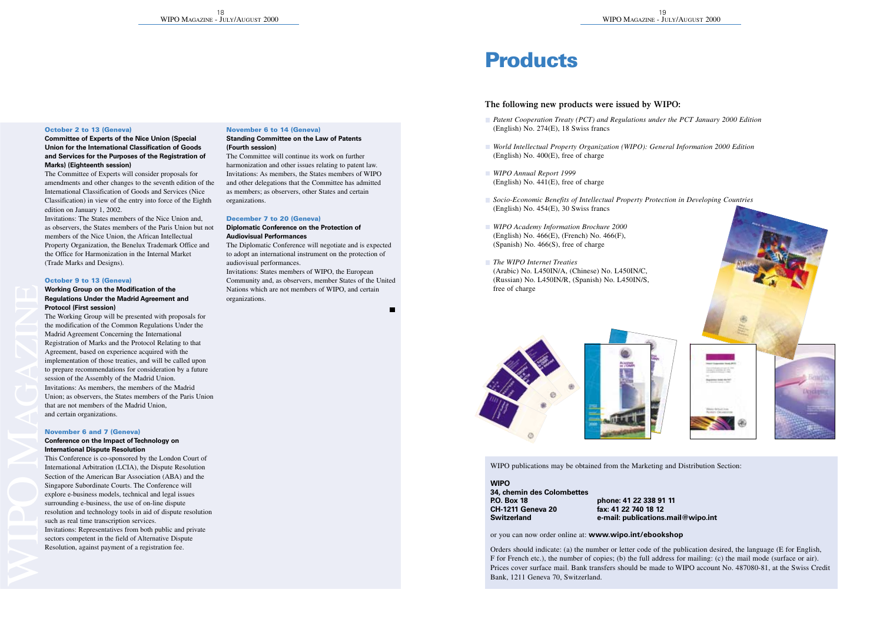### **October 2 to 13 (Geneva)**

#### **Committee of Experts of the Nice Union (Special Union for the International Classification of Goods and Services for the Purposes of the Registration of Marks) (Eighteenth session)**

The Committee of Experts will consider proposals for amendments and other changes to the seventh edition of the International Classification of Goods and Services (Nice Classification) in view of the entry into force of the Eighth edition on January 1, 2002.

Invitations: The States members of the Nice Union and, as observers, the States members of the Paris Union but not members of the Nice Union, the African Intellectual Property Organization, the Benelux Trademark Office and the Office for Harmonization in the Internal Market (Trade Marks and Designs).

### **October 9 to 13 (Geneva)**

### **Working Group on the Modification of the Regulations Under the Madrid Agreement and Protocol (First session)**

The Working Group will be presented with proposals for the modification of the Common Regulations Under the Madrid Agreement Concerning the International Registration of Marks and the Protocol Relating to that Agreement, based on experience acquired with the implementation of those treaties, and will be called upon to prepare recommendations for consideration by a future session of the Assembly of the Madrid Union. Invitations: As members, the members of the Madrid Union; as observers, the States members of the Paris Union that are not members of the Madrid Union, and certain organizations.

### **November 6 and 7 (Geneva)**

#### **Conference on the Impact of Technology on International Dispute Resolution**

This Conference is co-sponsored by the London Court of International Arbitration (LCIA), the Dispute Resolution Section of the American Bar Association (ABA) and the Singapore Subordinate Courts. The Conference will explore e-business models, technical and legal issues surrounding e-business, the use of on-line dispute resolution and technology tools in aid of dispute resolution such as real time transcription services. Invitations: Representatives from both public and private sectors connetent in the field of Alternative Dispute Resolution, against payment of a registration fee.

### **November 6 to 14 (Geneva)**

#### **Standing Committee on the Law of Patents (Fourth session)**

The Committee will continue its work on further harmonization and other issues relating to patent law. Invitations: As members, the States members of WIPO and other delegations that the Committee has admitted as members; as observers, other States and certain organizations.

#### **December 7 to 20 (Geneva) Diplomatic Conference on the Protection of**

#### **Audiovisual Performances**

The Diplomatic Conference will negotiate and is expected to adopt an international instrument on the protection of audiovisual performances. Invitations: States members of WIPO, the European Community and, as observers, member States of the United Nations which are not members of WIPO, and certain organizations.

## **Products**

### **The following new products were issued by WIPO:**

- *Patent Cooperation Treaty (PCT) and Regulations under the PCT January 2000 Edition* (English) No. 274(E), 18 Swiss francs
- *World Intellectual Property Organization (WIPO): General Information 2000 Edition*  (English) No. 400(E), free of charge
- *WIPO Annual Report 1999*  (English) No. 441(E), free of charge
- *Socio-Economic Benefits of Intellectual Property Protection in Developing Countries*  (English) No. 454(E), 30 Swiss francs
- *WIPO Academy Information Brochure 2000*  (English) No. 466(E), (French) No. 466(F), (Spanish) No. 466(S), free of charge
- *The WIPO Internet Treaties*  (Arabic) No. L450IN/A, (Chinese) No. L450IN/C, (Russian) No. L450IN/R, (Spanish) No. L450IN/S, free of charge







WIPO publications may be obtained from the Marketing and Distribution Section:

#### **WIPO**

## **34, chemin des Colombettes CH-1211 Geneva 20**<br>Switzerland

**P.O. Box 18 phone: 41 22 338 91 11 Switzerland e-mail: publications.mail@wipo.int**

or you can now order online at: **www.wipo.int/ebookshop**

Orders should indicate: (a) the number or letter code of the publication desired, the language (E for English, F for French etc.), the number of copies; (b) the full address for mailing: (c) the mail mode (surface or air). Prices cover surface mail. Bank transfers should be made to WIPO account No. 487080-81, at the Swiss Credit Bank, 1211 Geneva 70, Switzerland.